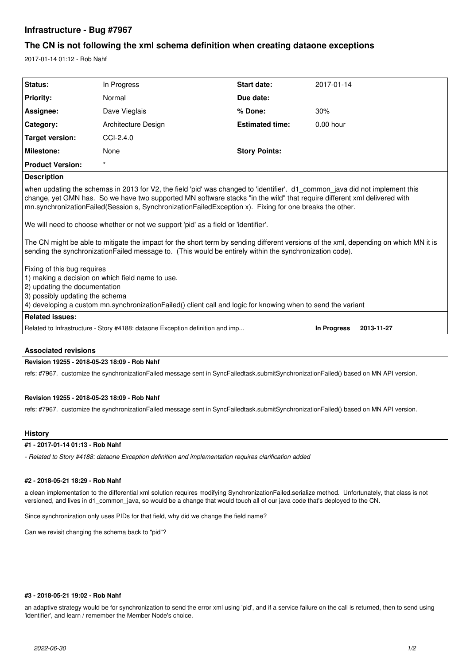# **Infrastructure - Bug #7967**

# **The CN is not following the xml schema definition when creating dataone exceptions**

2017-01-14 01:12 - Rob Nahf

| Status:                                                                                                                                                                                                                                                                                                                                                                                                                                                                                                                                                                                                                                                                                                                                                                                          | In Progress         | <b>Start date:</b>     | 2017-01-14                       |
|--------------------------------------------------------------------------------------------------------------------------------------------------------------------------------------------------------------------------------------------------------------------------------------------------------------------------------------------------------------------------------------------------------------------------------------------------------------------------------------------------------------------------------------------------------------------------------------------------------------------------------------------------------------------------------------------------------------------------------------------------------------------------------------------------|---------------------|------------------------|----------------------------------|
| <b>Priority:</b>                                                                                                                                                                                                                                                                                                                                                                                                                                                                                                                                                                                                                                                                                                                                                                                 | Normal              | Due date:              |                                  |
| Assignee:                                                                                                                                                                                                                                                                                                                                                                                                                                                                                                                                                                                                                                                                                                                                                                                        | Dave Vieglais       | % Done:                | 30%                              |
| Category:                                                                                                                                                                                                                                                                                                                                                                                                                                                                                                                                                                                                                                                                                                                                                                                        | Architecture Design | <b>Estimated time:</b> | $0.00$ hour                      |
| Target version:                                                                                                                                                                                                                                                                                                                                                                                                                                                                                                                                                                                                                                                                                                                                                                                  | $CCI-2.4.0$         |                        |                                  |
| <b>Milestone:</b>                                                                                                                                                                                                                                                                                                                                                                                                                                                                                                                                                                                                                                                                                                                                                                                | None                | <b>Story Points:</b>   |                                  |
| <b>Product Version:</b>                                                                                                                                                                                                                                                                                                                                                                                                                                                                                                                                                                                                                                                                                                                                                                          | $\star$             |                        |                                  |
| <b>Description</b>                                                                                                                                                                                                                                                                                                                                                                                                                                                                                                                                                                                                                                                                                                                                                                               |                     |                        |                                  |
| when updating the schemas in 2013 for V2, the field 'pid' was changed to 'identifier'. d1 common java did not implement this<br>change, yet GMN has. So we have two supported MN software stacks "in the wild" that require different xml delivered with<br>mn.synchronizationFailed(Session s, SynchronizationFailedException x). Fixing for one breaks the other.<br>We will need to choose whether or not we support 'pid' as a field or 'identifier'.<br>The CN might be able to mitigate the impact for the short term by sending different versions of the xml, depending on which MN it is<br>sending the synchronization Failed message to. (This would be entirely within the synchronization code).<br>Fixing of this bug requires<br>1) making a decision on which field name to use. |                     |                        |                                  |
| 2) updating the documentation                                                                                                                                                                                                                                                                                                                                                                                                                                                                                                                                                                                                                                                                                                                                                                    |                     |                        |                                  |
| 4) developing a custom mn.synchronization Failed () client call and logic for knowing when to send the variant                                                                                                                                                                                                                                                                                                                                                                                                                                                                                                                                                                                                                                                                                   |                     |                        |                                  |
| <b>Related issues:</b>                                                                                                                                                                                                                                                                                                                                                                                                                                                                                                                                                                                                                                                                                                                                                                           |                     |                        |                                  |
|                                                                                                                                                                                                                                                                                                                                                                                                                                                                                                                                                                                                                                                                                                                                                                                                  |                     |                        | <b>In Progress</b><br>2013-11-27 |
| 3) possibly updating the schema<br>Related to Infrastructure - Story #4188: dataone Exception definition and imp                                                                                                                                                                                                                                                                                                                                                                                                                                                                                                                                                                                                                                                                                 |                     |                        |                                  |

## **Associated revisions**

## **Revision 19255 - 2018-05-23 18:09 - Rob Nahf**

refs: #7967. customize the synchronizationFailed message sent in SyncFailedtask.submitSynchronizationFailed() based on MN API version.

### **Revision 19255 - 2018-05-23 18:09 - Rob Nahf**

refs: #7967. customize the synchronizationFailed message sent in SyncFailedtask.submitSynchronizationFailed() based on MN API version.

### **History**

## **#1 - 2017-01-14 01:13 - Rob Nahf**

*- Related to Story #4188: dataone Exception definition and implementation requires clarification added*

#### **#2 - 2018-05-21 18:29 - Rob Nahf**

a clean implementation to the differential xml solution requires modifying SynchronizationFailed.serialize method. Unfortunately, that class is not versioned, and lives in d1\_common\_java, so would be a change that would touch all of our java code that's deployed to the CN.

Since synchronization only uses PIDs for that field, why did we change the field name?

Can we revisit changing the schema back to "pid"?

#### **#3 - 2018-05-21 19:02 - Rob Nahf**

an adaptive strategy would be for synchronization to send the error xml using 'pid', and if a service failure on the call is returned, then to send using 'identifier', and learn / remember the Member Node's choice.